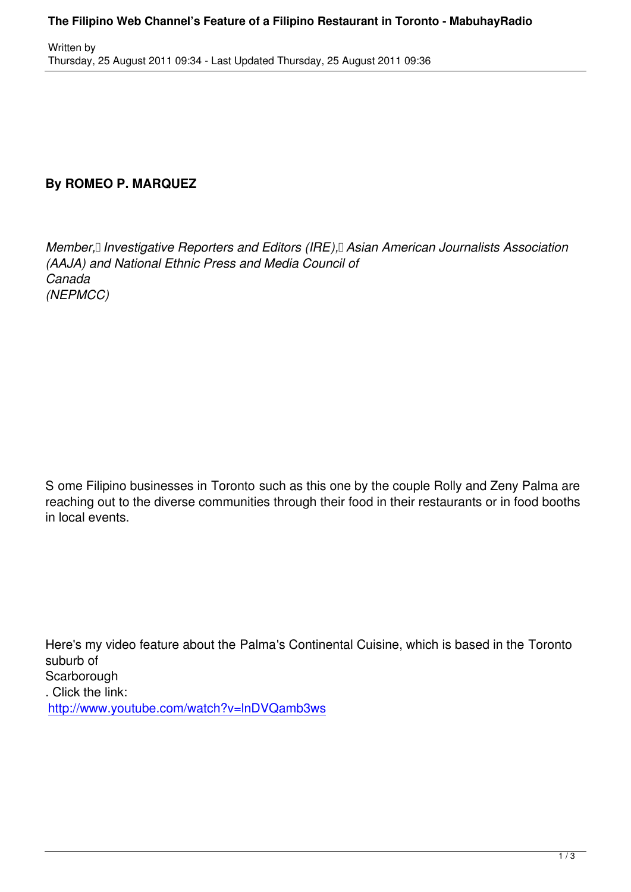## **By ROMEO P. MARQUEZ**

Written by

*Member, Investigative Reporters and Editors (IRE), Asian American Journalists Association (AAJA) and National Ethnic Press and Media Council of Canada (NEPMCC)*

S ome Filipino businesses in Toronto such as this one by the couple Rolly and Zeny Palma are reaching out to the diverse communities through their food in their restaurants or in food booths in local events.

Here's my video feature about the Palma's Continental Cuisine, which is based in the Toronto suburb of **Scarborough** . Click the link: http://www.youtube.com/watch?v=lnDVQamb3ws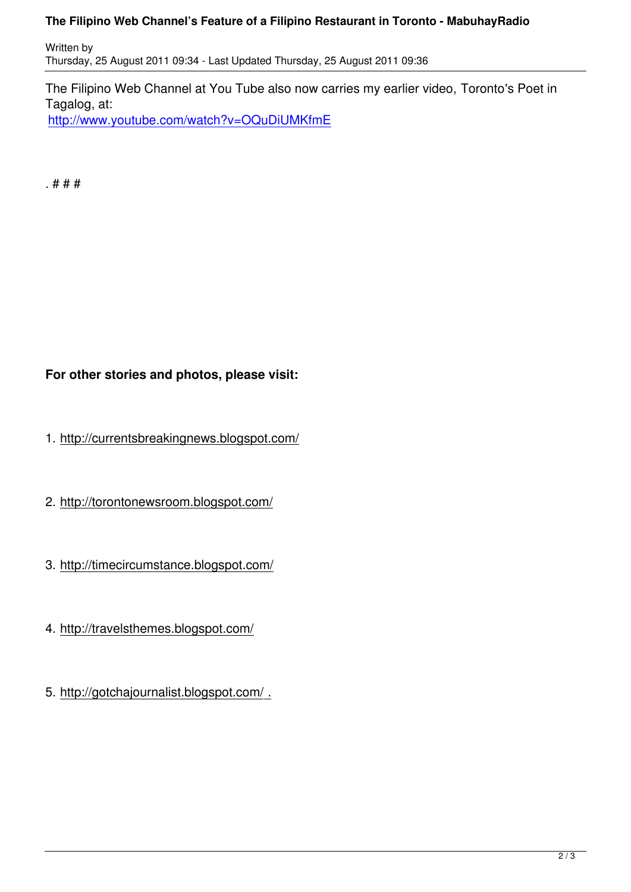The Filipino Web Channel at You Tube also now carries my earlier video, Toronto's Poet in Tagalog, at:

http://www.youtube.com/watch?v=OQuDiUMKfmE

[. # # #](http://www.youtube.com/watch?v=OQuDiUMKfmE)

## **For other stories and photos, please visit:**

- 1. http://currentsbreakingnews.blogspot.com/
- 2. http://torontonewsroom.blogspot.com/
- 3. http://timecircumstance.blogspot.com/
- 4. http://travelsthemes.blogspot.com/
- 5. http://gotchajournalist.blogspot.com/ .